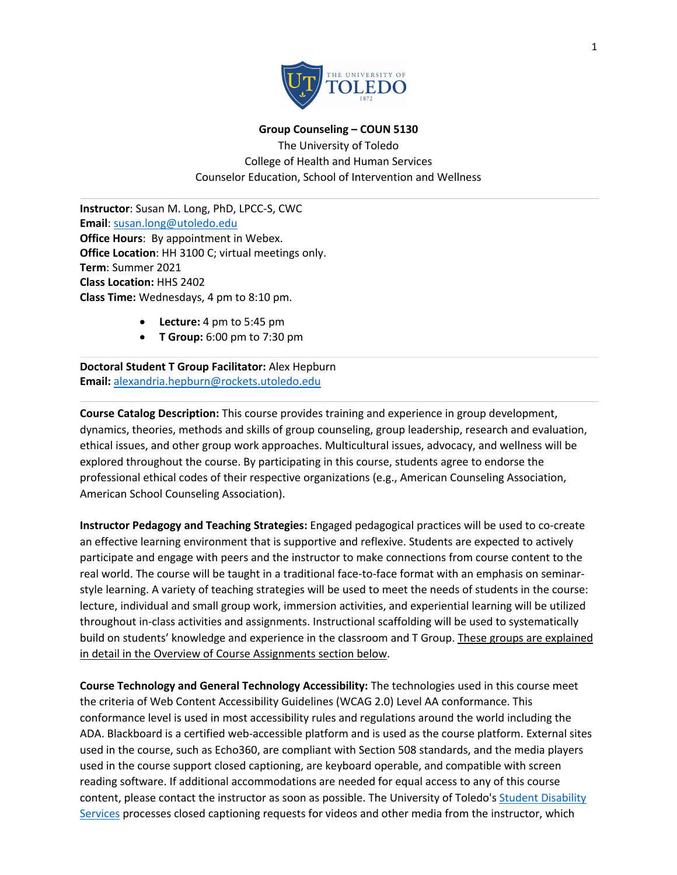

**Group Counseling – COUN 5130** 

The University of Toledo College of Health and Human Services Counselor Education, School of Intervention and Wellness

**Instructor**: Susan M. Long, PhD, LPCC-S, CWC **Email**: susan.long@utoledo.edu **Office Hours**: By appointment in Webex. **Office Location**: HH 3100 C; virtual meetings only. **Term**: Summer 2021 **Class Location:** HHS 2402 **Class Time:** Wednesdays, 4 pm to 8:10 pm.

- **Lecture:** 4 pm to 5:45 pm
- **T Group:** 6:00 pm to 7:30 pm

**Doctoral Student T Group Facilitator:** Alex Hepburn **Email:** alexandria.hepburn@rockets.utoledo.edu

**Course Catalog Description:** This course provides training and experience in group development, dynamics, theories, methods and skills of group counseling, group leadership, research and evaluation, ethical issues, and other group work approaches. Multicultural issues, advocacy, and wellness will be explored throughout the course. By participating in this course, students agree to endorse the professional ethical codes of their respective organizations (e.g., American Counseling Association, American School Counseling Association).

**Instructor Pedagogy and Teaching Strategies:** Engaged pedagogical practices will be used to co-create an effective learning environment that is supportive and reflexive. Students are expected to actively participate and engage with peers and the instructor to make connections from course content to the real world. The course will be taught in a traditional face-to-face format with an emphasis on seminarstyle learning. A variety of teaching strategies will be used to meet the needs of students in the course: lecture, individual and small group work, immersion activities, and experiential learning will be utilized throughout in-class activities and assignments. Instructional scaffolding will be used to systematically build on students' knowledge and experience in the classroom and T Group. These groups are explained in detail in the Overview of Course Assignments section below.

**Course Technology and General Technology Accessibility:** The technologies used in this course meet the criteria of Web Content Accessibility Guidelines (WCAG 2.0) Level AA conformance. This conformance level is used in most accessibility rules and regulations around the world including the ADA. Blackboard is a certified web-accessible platform and is used as the course platform. External sites used in the course, such as Echo360, are compliant with Section 508 standards, and the media players used in the course support closed captioning, are keyboard operable, and compatible with screen reading software. If additional accommodations are needed for equal access to any of this course content, please contact the instructor as soon as possible. The University of Toledo's Student Disability Services processes closed captioning requests for videos and other media from the instructor, which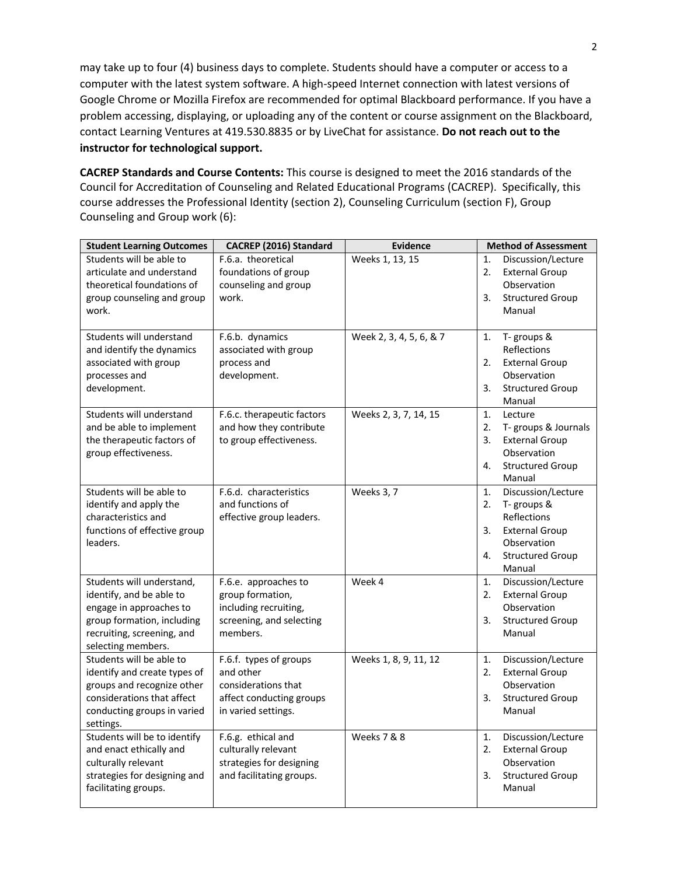may take up to four (4) business days to complete. Students should have a computer or access to a computer with the latest system software. A high-speed Internet connection with latest versions of Google Chrome or Mozilla Firefox are recommended for optimal Blackboard performance. If you have a problem accessing, displaying, or uploading any of the content or course assignment on the Blackboard, contact Learning Ventures at 419.530.8835 or by LiveChat for assistance. **Do not reach out to the instructor for technological support.**

**CACREP Standards and Course Contents:** This course is designed to meet the 2016 standards of the Council for Accreditation of Counseling and Related Educational Programs (CACREP). Specifically, this course addresses the Professional Identity (section 2), Counseling Curriculum (section F), Group Counseling and Group work (6):

| <b>Student Learning Outcomes</b>                                                                                                                                   | CACREP (2016) Standard                                                                                        | <b>Evidence</b>         | <b>Method of Assessment</b>                                                                                                                          |
|--------------------------------------------------------------------------------------------------------------------------------------------------------------------|---------------------------------------------------------------------------------------------------------------|-------------------------|------------------------------------------------------------------------------------------------------------------------------------------------------|
| Students will be able to<br>articulate and understand<br>theoretical foundations of<br>group counseling and group<br>work.                                         | F.6.a. theoretical<br>foundations of group<br>counseling and group<br>work.                                   | Weeks 1, 13, 15         | 1.<br>Discussion/Lecture<br>2.<br><b>External Group</b><br>Observation<br>3.<br><b>Structured Group</b><br>Manual                                    |
| Students will understand<br>and identify the dynamics<br>associated with group<br>processes and<br>development.                                                    | F.6.b. dynamics<br>associated with group<br>process and<br>development.                                       | Week 2, 3, 4, 5, 6, & 7 | 1.<br>T-groups &<br>Reflections<br>2.<br><b>External Group</b><br>Observation<br><b>Structured Group</b><br>3.<br>Manual                             |
| Students will understand<br>and be able to implement<br>the therapeutic factors of<br>group effectiveness.                                                         | F.6.c. therapeutic factors<br>and how they contribute<br>to group effectiveness.                              | Weeks 2, 3, 7, 14, 15   | 1.<br>Lecture<br>2.<br>T- groups & Journals<br>3.<br><b>External Group</b><br>Observation<br><b>Structured Group</b><br>4.<br>Manual                 |
| Students will be able to<br>identify and apply the<br>characteristics and<br>functions of effective group<br>leaders.                                              | F.6.d. characteristics<br>and functions of<br>effective group leaders.                                        | Weeks 3, 7              | Discussion/Lecture<br>1.<br>2.<br>T-groups &<br>Reflections<br>3.<br><b>External Group</b><br>Observation<br><b>Structured Group</b><br>4.<br>Manual |
| Students will understand,<br>identify, and be able to<br>engage in approaches to<br>group formation, including<br>recruiting, screening, and<br>selecting members. | F.6.e. approaches to<br>group formation,<br>including recruiting,<br>screening, and selecting<br>members.     | Week 4                  | Discussion/Lecture<br>1.<br>2.<br><b>External Group</b><br>Observation<br>3.<br><b>Structured Group</b><br>Manual                                    |
| Students will be able to<br>identify and create types of<br>groups and recognize other<br>considerations that affect<br>conducting groups in varied<br>settings.   | F.6.f. types of groups<br>and other<br>considerations that<br>affect conducting groups<br>in varied settings. | Weeks 1, 8, 9, 11, 12   | Discussion/Lecture<br>1.<br>2.<br><b>External Group</b><br>Observation<br>3.<br><b>Structured Group</b><br>Manual                                    |
| Students will be to identify<br>and enact ethically and<br>culturally relevant<br>strategies for designing and<br>facilitating groups.                             | F.6.g. ethical and<br>culturally relevant<br>strategies for designing<br>and facilitating groups.             | Weeks 7 & 8             | Discussion/Lecture<br>1.<br>2.<br><b>External Group</b><br>Observation<br>3.<br><b>Structured Group</b><br>Manual                                    |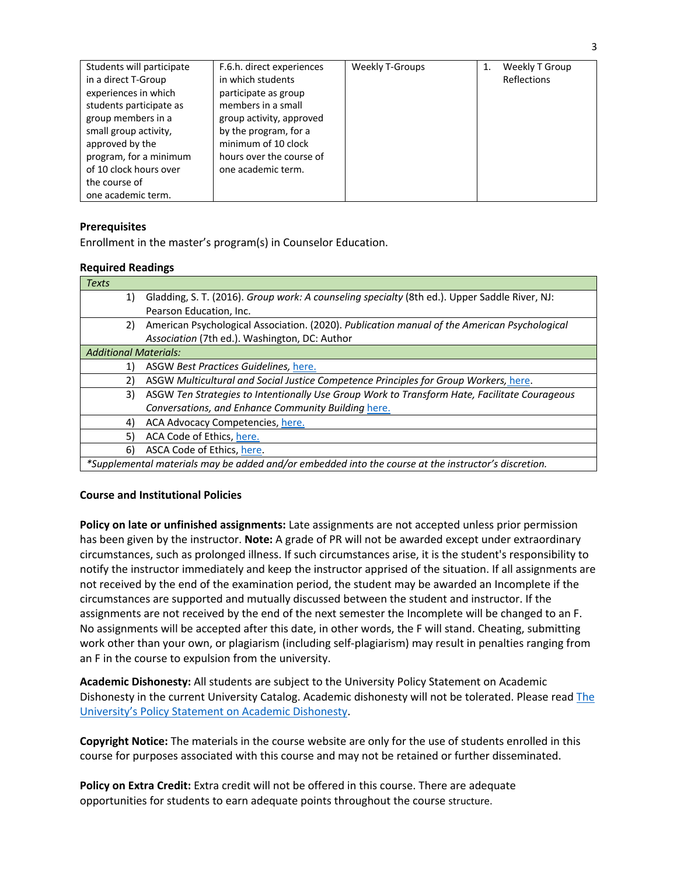## **Prerequisites**

Enrollment in the master's program(s) in Counselor Education.

### **Required Readings**

| <b>Texts</b>                                                                                         |                                                                                               |  |  |
|------------------------------------------------------------------------------------------------------|-----------------------------------------------------------------------------------------------|--|--|
| 1)                                                                                                   | Gladding, S. T. (2016). Group work: A counseling specialty (8th ed.). Upper Saddle River, NJ: |  |  |
|                                                                                                      | Pearson Education, Inc.                                                                       |  |  |
| 2)                                                                                                   | American Psychological Association. (2020). Publication manual of the American Psychological  |  |  |
|                                                                                                      | Association (7th ed.). Washington, DC: Author                                                 |  |  |
| <b>Additional Materials:</b>                                                                         |                                                                                               |  |  |
| 1)                                                                                                   | ASGW Best Practices Guidelines, here.                                                         |  |  |
| 2)                                                                                                   | ASGW Multicultural and Social Justice Competence Principles for Group Workers, here.          |  |  |
| 3)                                                                                                   | ASGW Ten Strategies to Intentionally Use Group Work to Transform Hate, Facilitate Courageous  |  |  |
|                                                                                                      | Conversations, and Enhance Community Building here.                                           |  |  |
| 4)                                                                                                   | ACA Advocacy Competencies, here.                                                              |  |  |
| 5)                                                                                                   | ACA Code of Ethics, here.                                                                     |  |  |
| 6)                                                                                                   | ASCA Code of Ethics, here.                                                                    |  |  |
| *Supplemental materials may be added and/or embedded into the course at the instructor's discretion. |                                                                                               |  |  |

### **Course and Institutional Policies**

**Policy on late or unfinished assignments:** Late assignments are not accepted unless prior permission has been given by the instructor. **Note:** A grade of PR will not be awarded except under extraordinary circumstances, such as prolonged illness. If such circumstances arise, it is the student's responsibility to notify the instructor immediately and keep the instructor apprised of the situation. If all assignments are not received by the end of the examination period, the student may be awarded an Incomplete if the circumstances are supported and mutually discussed between the student and instructor. If the assignments are not received by the end of the next semester the Incomplete will be changed to an F. No assignments will be accepted after this date, in other words, the F will stand. Cheating, submitting work other than your own, or plagiarism (including self-plagiarism) may result in penalties ranging from an F in the course to expulsion from the university.

**Academic Dishonesty:** All students are subject to the University Policy Statement on Academic Dishonesty in the current University Catalog. Academic dishonesty will not be tolerated. Please read The University's Policy Statement on Academic Dishonesty.

**Copyright Notice:** The materials in the course website are only for the use of students enrolled in this course for purposes associated with this course and may not be retained or further disseminated.

**Policy on Extra Credit:** Extra credit will not be offered in this course. There are adequate opportunities for students to earn adequate points throughout the course structure.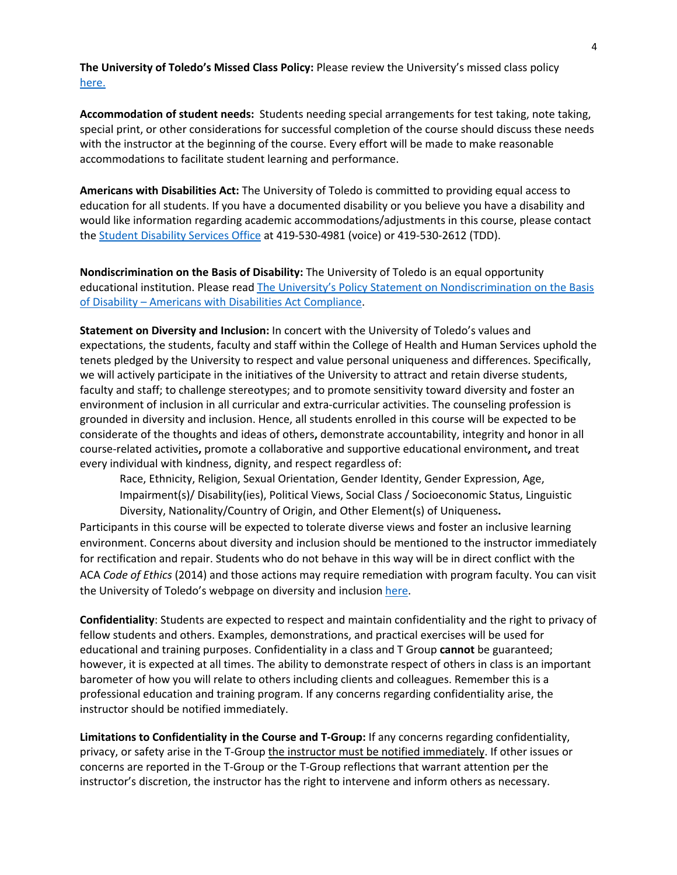**The University of Toledo's Missed Class Policy:** Please review the University's missed class policy here.

**Accommodation of student needs:** Students needing special arrangements for test taking, note taking, special print, or other considerations for successful completion of the course should discuss these needs with the instructor at the beginning of the course. Every effort will be made to make reasonable accommodations to facilitate student learning and performance.

**Americans with Disabilities Act:** The University of Toledo is committed to providing equal access to education for all students. If you have a documented disability or you believe you have a disability and would like information regarding academic accommodations/adjustments in this course, please contact the Student Disability Services Office at 419-530-4981 (voice) or 419-530-2612 (TDD).

**Nondiscrimination on the Basis of Disability:** The University of Toledo is an equal opportunity educational institution. Please read The University's Policy Statement on Nondiscrimination on the Basis of Disability – Americans with Disabilities Act Compliance.

**Statement on Diversity and Inclusion:** In concert with the University of Toledo's values and expectations, the students, faculty and staff within the College of Health and Human Services uphold the tenets pledged by the University to respect and value personal uniqueness and differences. Specifically, we will actively participate in the initiatives of the University to attract and retain diverse students, faculty and staff; to challenge stereotypes; and to promote sensitivity toward diversity and foster an environment of inclusion in all curricular and extra-curricular activities. The counseling profession is grounded in diversity and inclusion. Hence, all students enrolled in this course will be expected to be considerate of the thoughts and ideas of others**,** demonstrate accountability, integrity and honor in all course-related activities**,** promote a collaborative and supportive educational environment**,** and treat every individual with kindness, dignity, and respect regardless of:

Race, Ethnicity, Religion, Sexual Orientation, Gender Identity, Gender Expression, Age, Impairment(s)/ Disability(ies), Political Views, Social Class / Socioeconomic Status, Linguistic Diversity, Nationality/Country of Origin, and Other Element(s) of Uniqueness**.**

Participants in this course will be expected to tolerate diverse views and foster an inclusive learning environment. Concerns about diversity and inclusion should be mentioned to the instructor immediately for rectification and repair. Students who do not behave in this way will be in direct conflict with the ACA *Code of Ethics* (2014) and those actions may require remediation with program faculty. You can visit the University of Toledo's webpage on diversity and inclusion here.

**Confidentiality**: Students are expected to respect and maintain confidentiality and the right to privacy of fellow students and others. Examples, demonstrations, and practical exercises will be used for educational and training purposes. Confidentiality in a class and T Group **cannot** be guaranteed; however, it is expected at all times. The ability to demonstrate respect of others in class is an important barometer of how you will relate to others including clients and colleagues. Remember this is a professional education and training program. If any concerns regarding confidentiality arise, the instructor should be notified immediately.

**Limitations to Confidentiality in the Course and T-Group:** If any concerns regarding confidentiality, privacy, or safety arise in the T-Group the instructor must be notified immediately. If other issues or concerns are reported in the T-Group or the T-Group reflections that warrant attention per the instructor's discretion, the instructor has the right to intervene and inform others as necessary.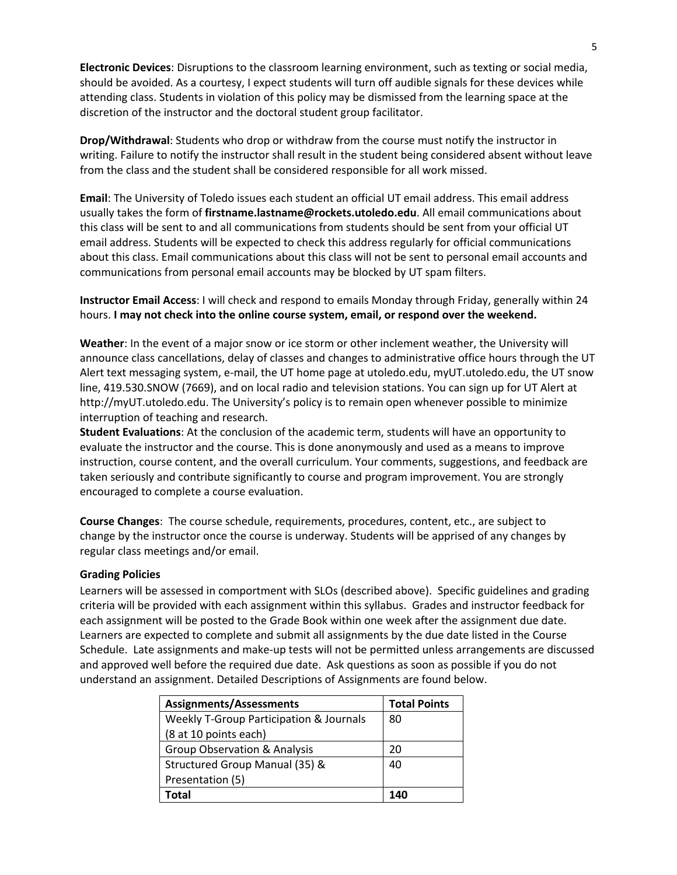**Electronic Devices**: Disruptions to the classroom learning environment, such as texting or social media, should be avoided. As a courtesy, I expect students will turn off audible signals for these devices while attending class. Students in violation of this policy may be dismissed from the learning space at the discretion of the instructor and the doctoral student group facilitator.

**Drop/Withdrawal**: Students who drop or withdraw from the course must notify the instructor in writing. Failure to notify the instructor shall result in the student being considered absent without leave from the class and the student shall be considered responsible for all work missed.

**Email**: The University of Toledo issues each student an official UT email address. This email address usually takes the form of **firstname.lastname@rockets.utoledo.edu**. All email communications about this class will be sent to and all communications from students should be sent from your official UT email address. Students will be expected to check this address regularly for official communications about this class. Email communications about this class will not be sent to personal email accounts and communications from personal email accounts may be blocked by UT spam filters.

**Instructor Email Access**: I will check and respond to emails Monday through Friday, generally within 24 hours. **I may not check into the online course system, email, or respond over the weekend.**

**Weather**: In the event of a major snow or ice storm or other inclement weather, the University will announce class cancellations, delay of classes and changes to administrative office hours through the UT Alert text messaging system, e-mail, the UT home page at utoledo.edu, myUT.utoledo.edu, the UT snow line, 419.530.SNOW (7669), and on local radio and television stations. You can sign up for UT Alert at http://myUT.utoledo.edu. The University's policy is to remain open whenever possible to minimize interruption of teaching and research.

**Student Evaluations**: At the conclusion of the academic term, students will have an opportunity to evaluate the instructor and the course. This is done anonymously and used as a means to improve instruction, course content, and the overall curriculum. Your comments, suggestions, and feedback are taken seriously and contribute significantly to course and program improvement. You are strongly encouraged to complete a course evaluation.

**Course Changes**: The course schedule, requirements, procedures, content, etc., are subject to change by the instructor once the course is underway. Students will be apprised of any changes by regular class meetings and/or email.

#### **Grading Policies**

Learners will be assessed in comportment with SLOs (described above). Specific guidelines and grading criteria will be provided with each assignment within this syllabus. Grades and instructor feedback for each assignment will be posted to the Grade Book within one week after the assignment due date. Learners are expected to complete and submit all assignments by the due date listed in the Course Schedule. Late assignments and make-up tests will not be permitted unless arrangements are discussed and approved well before the required due date. Ask questions as soon as possible if you do not understand an assignment. Detailed Descriptions of Assignments are found below.

| <b>Assignments/Assessments</b>                     | <b>Total Points</b> |
|----------------------------------------------------|---------------------|
| <b>Weekly T-Group Participation &amp; Journals</b> | 80                  |
| (8 at 10 points each)                              |                     |
| <b>Group Observation &amp; Analysis</b>            | 20                  |
| Structured Group Manual (35) &                     | 40                  |
| Presentation (5)                                   |                     |
| Total                                              | 140                 |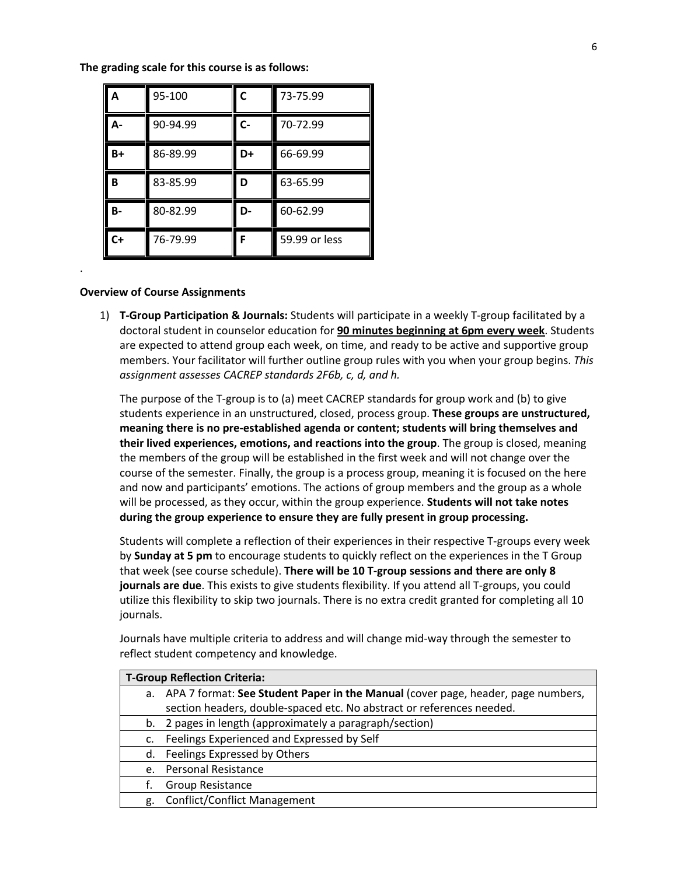**The grading scale for this course is as follows:**

| A         | 95-100   | C  | 73-75.99      |
|-----------|----------|----|---------------|
| А-        | 90-94.99 | C- | 70-72.99      |
| $B+$      | 86-89.99 | D+ | 66-69.99      |
| B         | 83-85.99 | D  | 63-65.99      |
| <b>B-</b> | 80-82.99 | D- | 60-62.99      |
| $C+$      | 76-79.99 | F  | 59.99 or less |

#### **Overview of Course Assignments**

.

1) **T-Group Participation & Journals:** Students will participate in a weekly T-group facilitated by a doctoral student in counselor education for **90 minutes beginning at 6pm every week**. Students are expected to attend group each week, on time, and ready to be active and supportive group members. Your facilitator will further outline group rules with you when your group begins. *This assignment assesses CACREP standards 2F6b, c, d, and h.* 

The purpose of the T-group is to (a) meet CACREP standards for group work and (b) to give students experience in an unstructured, closed, process group. **These groups are unstructured, meaning there is no pre-established agenda or content; students will bring themselves and their lived experiences, emotions, and reactions into the group**. The group is closed, meaning the members of the group will be established in the first week and will not change over the course of the semester. Finally, the group is a process group, meaning it is focused on the here and now and participants' emotions. The actions of group members and the group as a whole will be processed, as they occur, within the group experience. **Students will not take notes during the group experience to ensure they are fully present in group processing.**

Students will complete a reflection of their experiences in their respective T-groups every week by **Sunday at 5 pm** to encourage students to quickly reflect on the experiences in the T Group that week (see course schedule). **There will be 10 T-group sessions and there are only 8 journals are due**. This exists to give students flexibility. If you attend all T-groups, you could utilize this flexibility to skip two journals. There is no extra credit granted for completing all 10 journals.

Journals have multiple criteria to address and will change mid-way through the semester to reflect student competency and knowledge.

| <b>T-Group Reflection Criteria:</b> |                                                                                     |  |  |
|-------------------------------------|-------------------------------------------------------------------------------------|--|--|
|                                     | a. APA 7 format: See Student Paper in the Manual (cover page, header, page numbers, |  |  |
|                                     | section headers, double-spaced etc. No abstract or references needed.               |  |  |
|                                     | b. 2 pages in length (approximately a paragraph/section)                            |  |  |
| c.                                  | Feelings Experienced and Expressed by Self                                          |  |  |
| d.                                  | Feelings Expressed by Others                                                        |  |  |
| e <sub>1</sub>                      | <b>Personal Resistance</b>                                                          |  |  |
| t.                                  | Group Resistance                                                                    |  |  |
| g.                                  | <b>Conflict/Conflict Management</b>                                                 |  |  |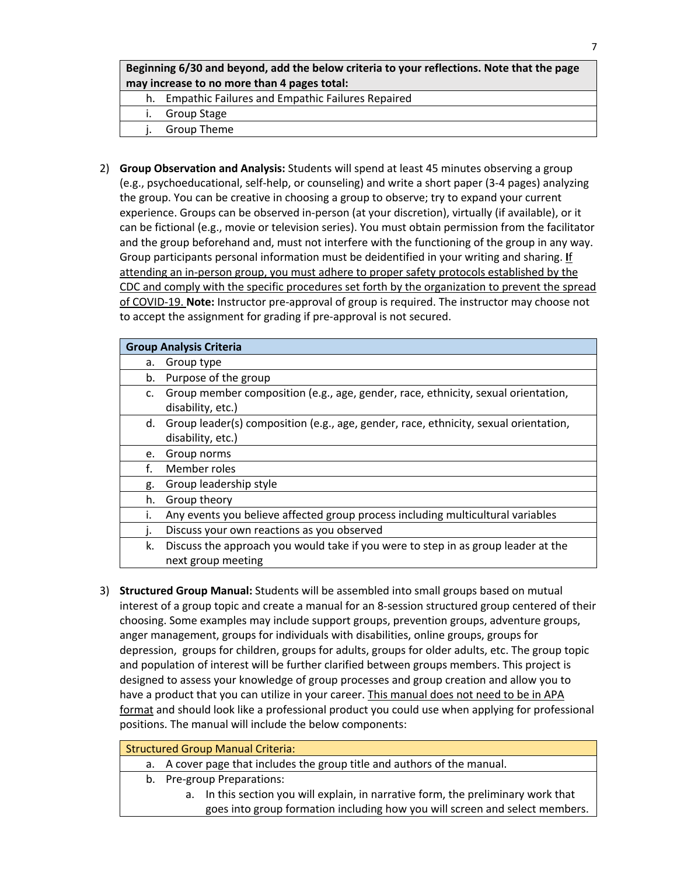# **Beginning 6/30 and beyond, add the below criteria to your reflections. Note that the page may increase to no more than 4 pages total:**

- h. Empathic Failures and Empathic Failures Repaired
- i. Group Stage
- Group Theme
- 2) **Group Observation and Analysis:** Students will spend at least 45 minutes observing a group (e.g., psychoeducational, self-help, or counseling) and write a short paper (3-4 pages) analyzing the group. You can be creative in choosing a group to observe; try to expand your current experience. Groups can be observed in-person (at your discretion), virtually (if available), or it can be fictional (e.g., movie or television series). You must obtain permission from the facilitator and the group beforehand and, must not interfere with the functioning of the group in any way. Group participants personal information must be deidentified in your writing and sharing. **I**f attending an in-person group, you must adhere to proper safety protocols established by the CDC and comply with the specific procedures set forth by the organization to prevent the spread of COVID-19. **Note:** Instructor pre-approval of group is required. The instructor may choose not to accept the assignment for grading if pre-approval is not secured.

| <b>Group Analysis Criteria</b> |                                                                                         |  |  |  |
|--------------------------------|-----------------------------------------------------------------------------------------|--|--|--|
| а.                             | Group type                                                                              |  |  |  |
| b.                             | Purpose of the group                                                                    |  |  |  |
| C.                             | Group member composition (e.g., age, gender, race, ethnicity, sexual orientation,       |  |  |  |
|                                | disability, etc.)                                                                       |  |  |  |
|                                | d. Group leader(s) composition (e.g., age, gender, race, ethnicity, sexual orientation, |  |  |  |
|                                | disability, etc.)                                                                       |  |  |  |
| e.                             | Group norms                                                                             |  |  |  |
| f.                             | Member roles                                                                            |  |  |  |
| g.                             | Group leadership style                                                                  |  |  |  |
| h.                             | Group theory                                                                            |  |  |  |
| i.                             | Any events you believe affected group process including multicultural variables         |  |  |  |
|                                | Discuss your own reactions as you observed                                              |  |  |  |
| k.                             | Discuss the approach you would take if you were to step in as group leader at the       |  |  |  |
|                                | next group meeting                                                                      |  |  |  |

3) **Structured Group Manual:** Students will be assembled into small groups based on mutual interest of a group topic and create a manual for an 8-session structured group centered of their choosing. Some examples may include support groups, prevention groups, adventure groups, anger management, groups for individuals with disabilities, online groups, groups for depression, groups for children, groups for adults, groups for older adults, etc. The group topic and population of interest will be further clarified between groups members. This project is designed to assess your knowledge of group processes and group creation and allow you to have a product that you can utilize in your career. This manual does not need to be in APA format and should look like a professional product you could use when applying for professional positions. The manual will include the below components:

| <b>Structured Group Manual Criteria:</b> |                                                                          |  |  |
|------------------------------------------|--------------------------------------------------------------------------|--|--|
|                                          | a. A cover page that includes the group title and authors of the manual. |  |  |
|                                          | $\blacksquare$ . The set of $\blacksquare$                               |  |  |

- b. Pre-group Preparations:
	- a. In this section you will explain, in narrative form, the preliminary work that goes into group formation including how you will screen and select members.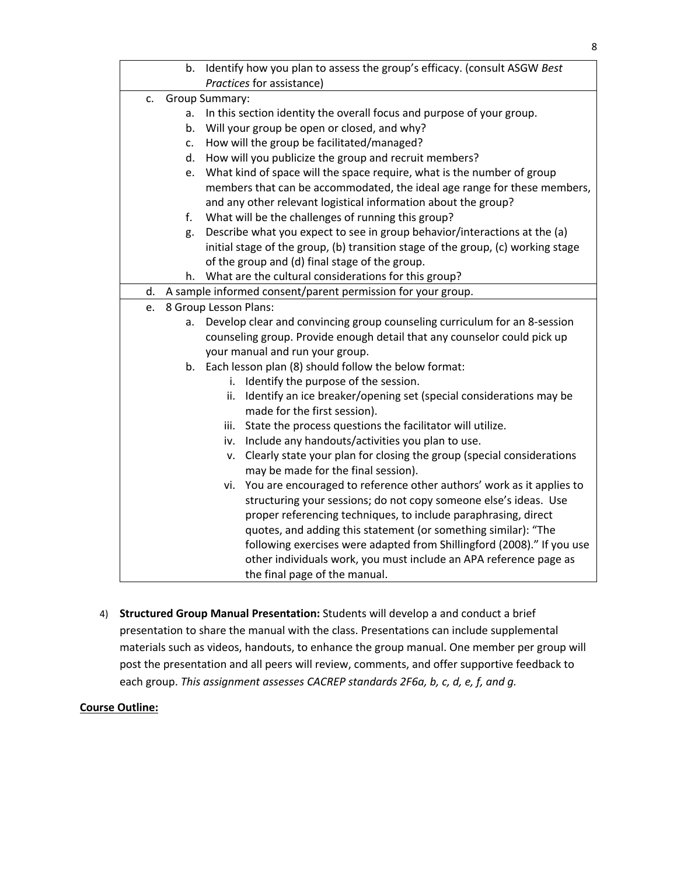|                      | b. | Identify how you plan to assess the group's efficacy. (consult ASGW Best         |
|----------------------|----|----------------------------------------------------------------------------------|
|                      |    | Practices for assistance)                                                        |
| Group Summary:<br>c. |    |                                                                                  |
|                      | a. | In this section identity the overall focus and purpose of your group.            |
|                      | b. | Will your group be open or closed, and why?                                      |
|                      | c. | How will the group be facilitated/managed?                                       |
|                      | d. | How will you publicize the group and recruit members?                            |
|                      | e. | What kind of space will the space require, what is the number of group           |
|                      |    | members that can be accommodated, the ideal age range for these members,         |
|                      |    | and any other relevant logistical information about the group?                   |
|                      | f. | What will be the challenges of running this group?                               |
|                      | g. | Describe what you expect to see in group behavior/interactions at the (a)        |
|                      |    | initial stage of the group, (b) transition stage of the group, (c) working stage |
|                      |    | of the group and (d) final stage of the group.                                   |
|                      |    | h. What are the cultural considerations for this group?                          |
| d.                   |    | A sample informed consent/parent permission for your group.                      |
| e.                   |    | 8 Group Lesson Plans:                                                            |
|                      | a. | Develop clear and convincing group counseling curriculum for an 8-session        |
|                      |    | counseling group. Provide enough detail that any counselor could pick up         |
|                      |    | your manual and run your group.                                                  |
|                      |    | b. Each lesson plan (8) should follow the below format:                          |
|                      |    | Identify the purpose of the session.<br>i.                                       |
|                      |    | Identify an ice breaker/opening set (special considerations may be<br>ii.        |
|                      |    | made for the first session).                                                     |
|                      |    | State the process questions the facilitator will utilize.<br>iii.                |
|                      |    | Include any handouts/activities you plan to use.<br>iv.                          |
|                      |    | Clearly state your plan for closing the group (special considerations<br>۷.      |
|                      |    | may be made for the final session).                                              |
|                      |    | You are encouraged to reference other authors' work as it applies to<br>vi.      |
|                      |    | structuring your sessions; do not copy someone else's ideas. Use                 |
|                      |    | proper referencing techniques, to include paraphrasing, direct                   |
|                      |    | quotes, and adding this statement (or something similar): "The                   |
|                      |    | following exercises were adapted from Shillingford (2008)." If you use           |
|                      |    | other individuals work, you must include an APA reference page as                |
|                      |    | the final page of the manual.                                                    |

4) **Structured Group Manual Presentation:** Students will develop a and conduct a brief presentation to share the manual with the class. Presentations can include supplemental materials such as videos, handouts, to enhance the group manual. One member per group will post the presentation and all peers will review, comments, and offer supportive feedback to each group. *This assignment assesses CACREP standards 2F6a, b, c, d, e, f, and g.* 

## **Course Outline:**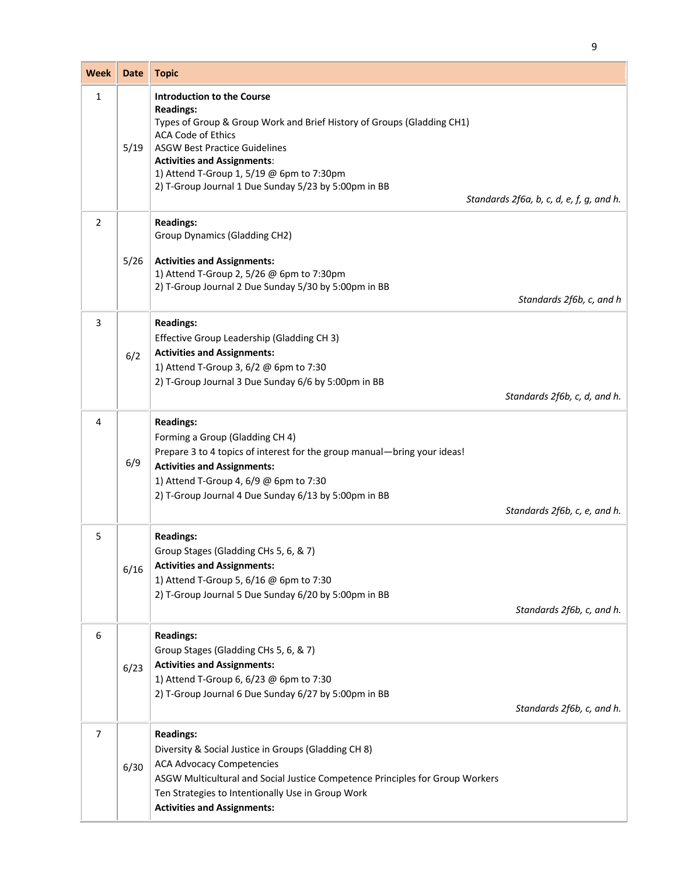| <b>Week</b> | <b>Date</b> | <b>Topic</b>                                                                                                                                                                                                                                                                                                                                    |                                          |
|-------------|-------------|-------------------------------------------------------------------------------------------------------------------------------------------------------------------------------------------------------------------------------------------------------------------------------------------------------------------------------------------------|------------------------------------------|
| 1           | 5/19        | <b>Introduction to the Course</b><br><b>Readings:</b><br>Types of Group & Group Work and Brief History of Groups (Gladding CH1)<br><b>ACA Code of Ethics</b><br><b>ASGW Best Practice Guidelines</b><br><b>Activities and Assignments:</b><br>1) Attend T-Group 1, 5/19 @ 6pm to 7:30pm<br>2) T-Group Journal 1 Due Sunday 5/23 by 5:00pm in BB | Standards 2f6a, b, c, d, e, f, g, and h. |
| 2           | 5/26        | <b>Readings:</b><br>Group Dynamics (Gladding CH2)<br><b>Activities and Assignments:</b><br>1) Attend T-Group 2, 5/26 @ 6pm to 7:30pm<br>2) T-Group Journal 2 Due Sunday 5/30 by 5:00pm in BB                                                                                                                                                    | Standards 2f6b, c, and h                 |
| 3           | 6/2         | <b>Readings:</b><br>Effective Group Leadership (Gladding CH 3)<br><b>Activities and Assignments:</b><br>1) Attend T-Group 3, 6/2 @ 6pm to 7:30<br>2) T-Group Journal 3 Due Sunday 6/6 by 5:00pm in BB                                                                                                                                           | Standards 2f6b, c, d, and h.             |
| 4           | 6/9         | <b>Readings:</b><br>Forming a Group (Gladding CH 4)<br>Prepare 3 to 4 topics of interest for the group manual-bring your ideas!<br><b>Activities and Assignments:</b><br>1) Attend T-Group 4, 6/9 @ 6pm to 7:30<br>2) T-Group Journal 4 Due Sunday 6/13 by 5:00pm in BB                                                                         | Standards 2f6b, c, e, and h.             |
| 5           | 6/16        | <b>Readings:</b><br>Group Stages (Gladding CHs 5, 6, & 7)<br><b>Activities and Assignments:</b><br>1) Attend T-Group 5, 6/16 @ 6pm to 7:30<br>2) T-Group Journal 5 Due Sunday 6/20 by 5:00pm in BB                                                                                                                                              | Standards 2f6b, c, and h.                |
| 6           | 6/23        | <b>Readings:</b><br>Group Stages (Gladding CHs 5, 6, & 7)<br><b>Activities and Assignments:</b><br>1) Attend T-Group 6, 6/23 @ 6pm to 7:30<br>2) T-Group Journal 6 Due Sunday 6/27 by 5:00pm in BB                                                                                                                                              | Standards 2f6b, c, and h.                |
| 7           | 6/30        | <b>Readings:</b><br>Diversity & Social Justice in Groups (Gladding CH 8)<br><b>ACA Advocacy Competencies</b><br>ASGW Multicultural and Social Justice Competence Principles for Group Workers<br>Ten Strategies to Intentionally Use in Group Work<br><b>Activities and Assignments:</b>                                                        |                                          |